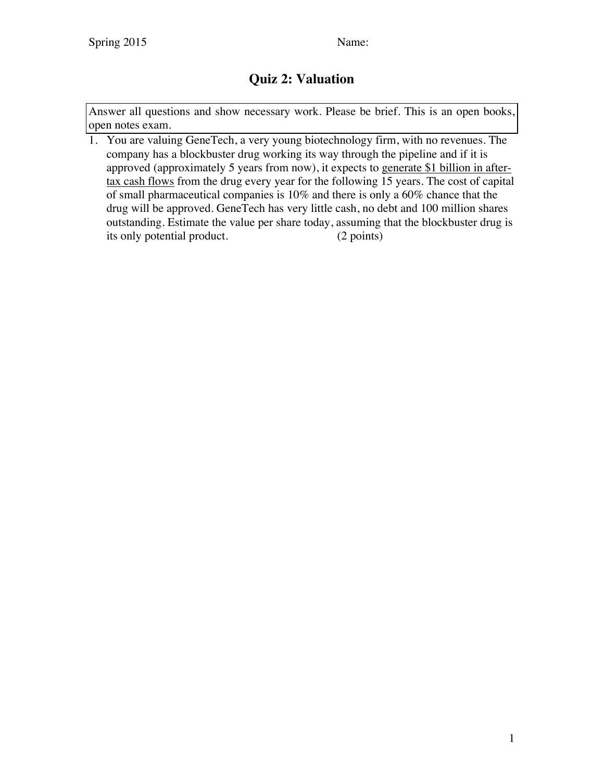## **Quiz 2: Valuation**

Answer all questions and show necessary work. Please be brief. This is an open books, open notes exam.

1. You are valuing GeneTech, a very young biotechnology firm, with no revenues. The company has a blockbuster drug working its way through the pipeline and if it is approved (approximately 5 years from now), it expects to generate \$1 billion in aftertax cash flows from the drug every year for the following 15 years. The cost of capital of small pharmaceutical companies is 10% and there is only a 60% chance that the drug will be approved. GeneTech has very little cash, no debt and 100 million shares outstanding. Estimate the value per share today, assuming that the blockbuster drug is its only potential product. (2 points)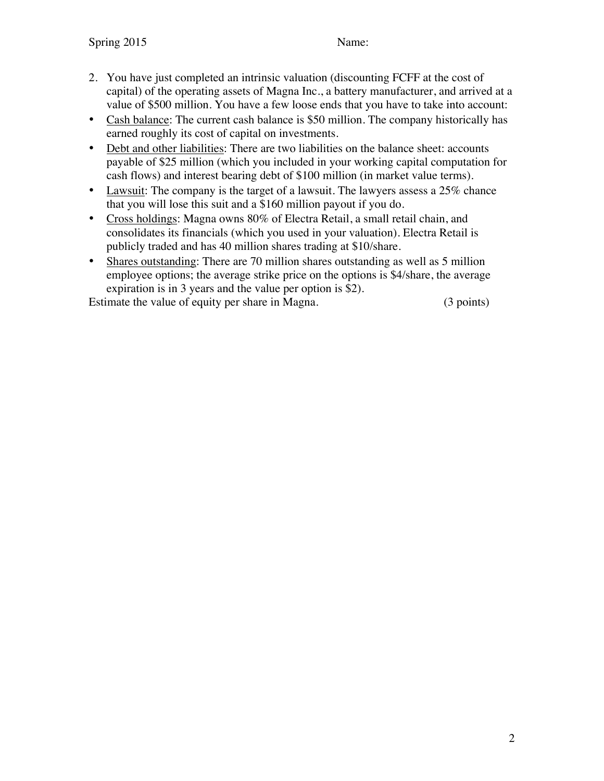- 2. You have just completed an intrinsic valuation (discounting FCFF at the cost of capital) of the operating assets of Magna Inc., a battery manufacturer, and arrived at a value of \$500 million. You have a few loose ends that you have to take into account:
- Cash balance: The current cash balance is \$50 million. The company historically has earned roughly its cost of capital on investments.
- Debt and other liabilities: There are two liabilities on the balance sheet: accounts payable of \$25 million (which you included in your working capital computation for cash flows) and interest bearing debt of \$100 million (in market value terms).
- Lawsuit: The company is the target of a lawsuit. The lawyers assess a 25% chance that you will lose this suit and a \$160 million payout if you do.
- Cross holdings: Magna owns 80% of Electra Retail, a small retail chain, and consolidates its financials (which you used in your valuation). Electra Retail is publicly traded and has 40 million shares trading at \$10/share.
- Shares outstanding: There are 70 million shares outstanding as well as 5 million employee options; the average strike price on the options is \$4/share, the average expiration is in 3 years and the value per option is \$2).

Estimate the value of equity per share in Magna. (3 points)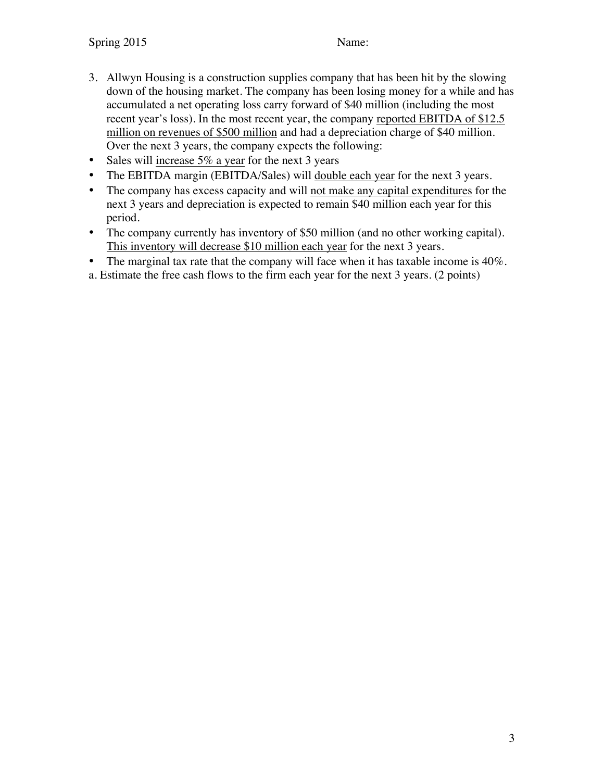- 3. Allwyn Housing is a construction supplies company that has been hit by the slowing down of the housing market. The company has been losing money for a while and has accumulated a net operating loss carry forward of \$40 million (including the most recent year's loss). In the most recent year, the company reported EBITDA of \$12.5 million on revenues of \$500 million and had a depreciation charge of \$40 million. Over the next 3 years, the company expects the following:
- Sales will increase  $5\%$  a year for the next 3 years
- The EBITDA margin (EBITDA/Sales) will double each year for the next 3 years.
- The company has excess capacity and will not make any capital expenditures for the next 3 years and depreciation is expected to remain \$40 million each year for this period.
- The company currently has inventory of \$50 million (and no other working capital). This inventory will decrease \$10 million each year for the next 3 years.
- The marginal tax rate that the company will face when it has taxable income is 40%.

a. Estimate the free cash flows to the firm each year for the next 3 years. (2 points)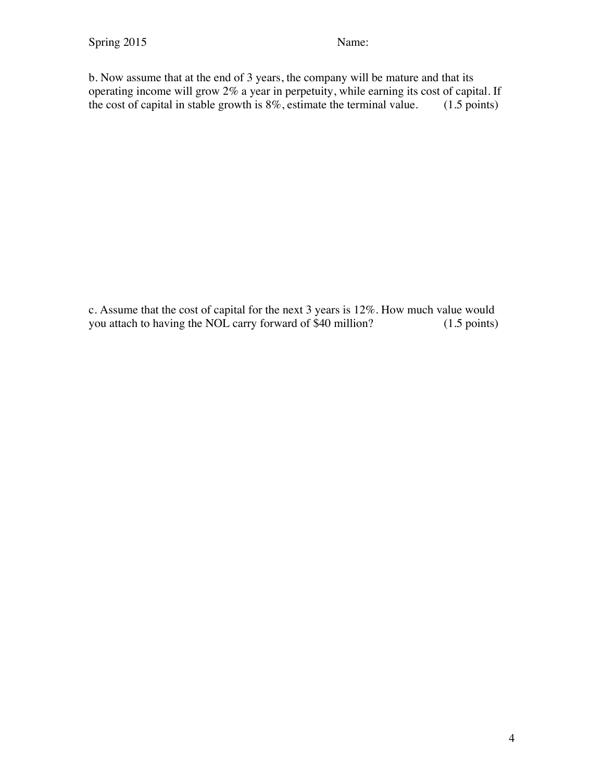b. Now assume that at the end of 3 years, the company will be mature and that its operating income will grow 2% a year in perpetuity, while earning its cost of capital. If the cost of capital in stable growth is 8%, estimate the terminal value. (1.5 points)

c. Assume that the cost of capital for the next 3 years is 12%. How much value would you attach to having the NOL carry forward of \$40 million? (1.5 points)